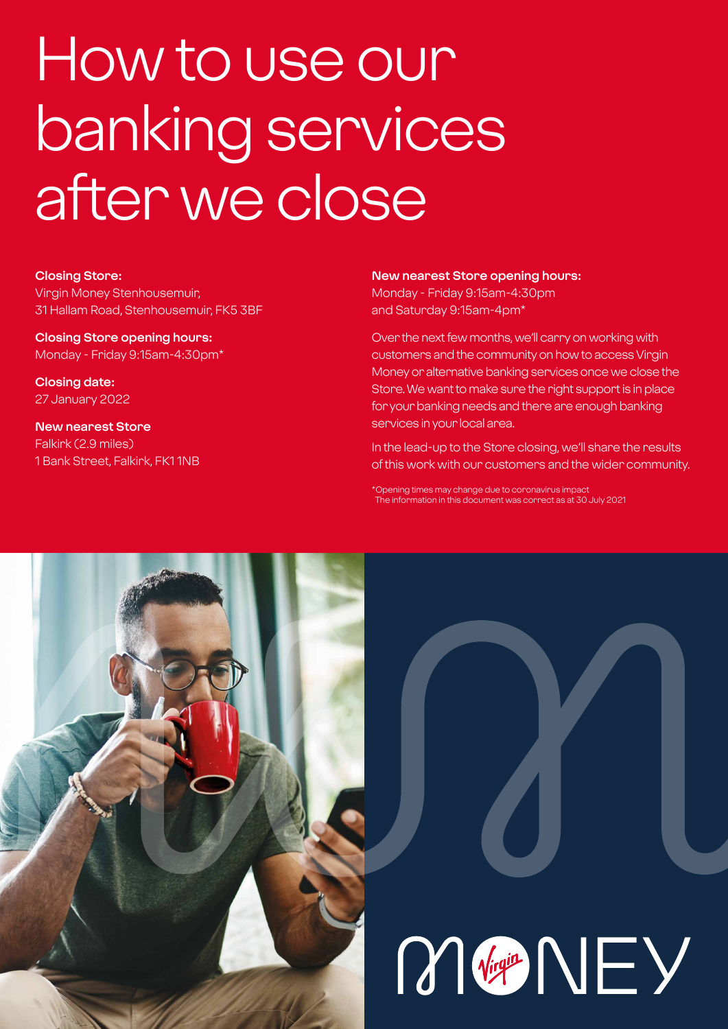# How to use our banking services after we close

## **Closing Store:**

Virgin Money Stenhousemuir, 31 Hallam Road, Stenhousemuir, FK5 3BF

**Closing Store opening hours:**  Monday - Friday 9:15am-4:30pm\*

**Closing date:**  27 January 2022

**New nearest Store** Falkirk (2.9 miles) 1 Bank Street, Falkirk, FK1 1NB

## **New nearest Store opening hours:**

Monday - Friday 9:15am-4:30pm and Saturday 9:15am-4pm\*

Over the next few months, we'll carry on working with customers and the community on how to access Virgin Money or alternative banking services once we close the Store. We want to make sure the right support is in place for your banking needs and there are enough banking services in your local area.

In the lead-up to the Store closing, we'll share the results of this work with our customers and the wider community.

\*Opening times may change due to coronavirus impact The information in this document was correct as at 30 July 2021



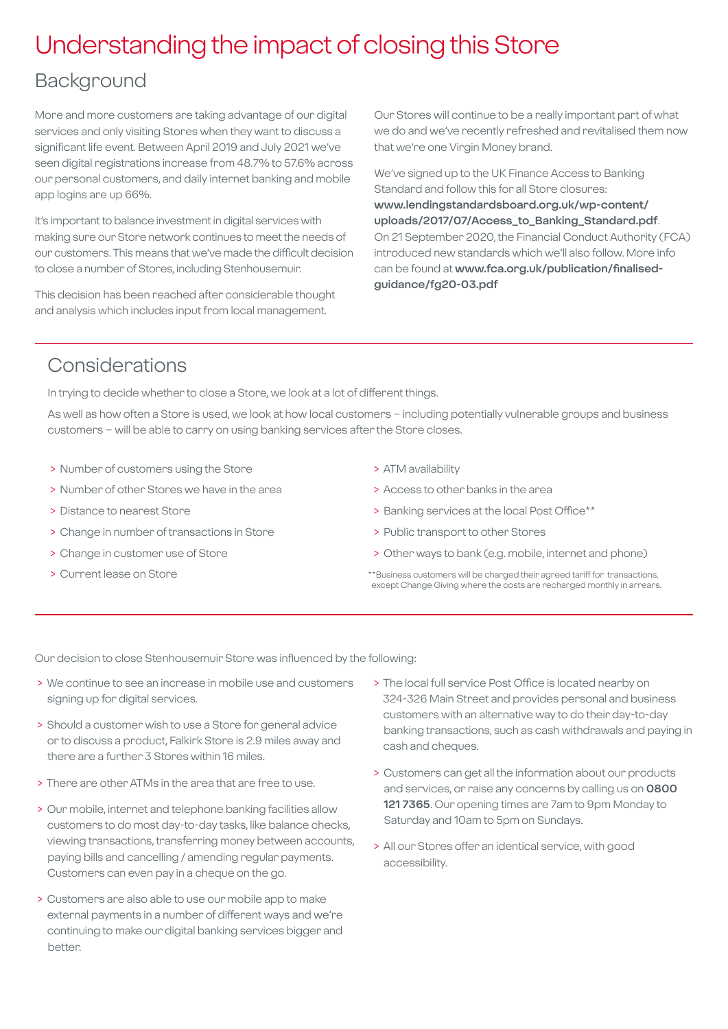# Understanding the impact of closing this Store

# Background

More and more customers are taking advantage of our digital services and only visiting Stores when they want to discuss a significant life event. Between April 2019 and July 2021 we've seen digital registrations increase from 48.7% to 57.6% across our personal customers, and daily internet banking and mobile app logins are up 66%.

It's important to balance investment in digital services with making sure our Store network continues to meet the needs of our customers. This means that we've made the difficult decision to close a number of Stores, including Stenhousemuir.

This decision has been reached after considerable thought and analysis which includes input from local management.

Our Stores will continue to be a really important part of what we do and we've recently refreshed and revitalised them now that we're one Virgin Money brand.

We've signed up to the UK Finance Access to Banking Standard and follow this for all Store closures: **[www.lendingstandardsboard.org.uk/wp-content/](http://www.lendingstandardsboard.org.uk/wp-content/uploads/2017/07/Access_to_Banking_Standard.pdf) [uploads/2017/07/Access\\_to\\_Banking\\_Standard.pdf](http://www.lendingstandardsboard.org.uk/wp-content/uploads/2017/07/Access_to_Banking_Standard.pdf)**. On 21 September 2020, the Financial Conduct Authority (FCA) introduced new standards which we'll also follow. More info can be found at **[www.fca.org.uk/publication/finalised](http://www.fca.org.uk/publication/finalised-guidance/fg20-03.pdf)[guidance/fg20-03.pdf](http://www.fca.org.uk/publication/finalised-guidance/fg20-03.pdf)**

# Considerations

In trying to decide whether to close a Store, we look at a lot of different things.

As well as how often a Store is used, we look at how local customers – including potentially vulnerable groups and business customers – will be able to carry on using banking services after the Store closes.

- > Number of customers using the Store
- > Number of other Stores we have in the area
- > Distance to nearest Store
- > Change in number of transactions in Store
- > Change in customer use of Store
- > Current lease on Store
- > ATM availability
- > Access to other banks in the area
- > Banking services at the local Post Office\*\*
- > Public transport to other Stores
- > Other ways to bank (e.g. mobile, internet and phone)
- \*\*Business customers will be charged their agreed tariff for transactions, except Change Giving where the costs are recharged monthly in arrears.

Our decision to close Stenhousemuir Store was influenced by the following:

- > We continue to see an increase in mobile use and customers signing up for digital services.
- > Should a customer wish to use a Store for general advice or to discuss a product, Falkirk Store is 2.9 miles away and there are a further 3 Stores within 16 miles.
- > There are other ATMs in the area that are free to use.
- > Our mobile, internet and telephone banking facilities allow customers to do most day-to-day tasks, like balance checks, viewing transactions, transferring money between accounts, paying bills and cancelling / amending regular payments. Customers can even pay in a cheque on the go.
- > Customers are also able to use our mobile app to make external payments in a number of different ways and we're continuing to make our digital banking services bigger and better.
- > The local full service Post Office is located nearby on 324-326 Main Street and provides personal and business customers with an alternative way to do their day-to-day banking transactions, such as cash withdrawals and paying in cash and cheques.
- > Customers can get all the information about our products and services, or raise any concerns by calling us on **0800 121 7365**. Our opening times are 7am to 9pm Monday to Saturday and 10am to 5pm on Sundays.
- > All our Stores offer an identical service, with good accessibility.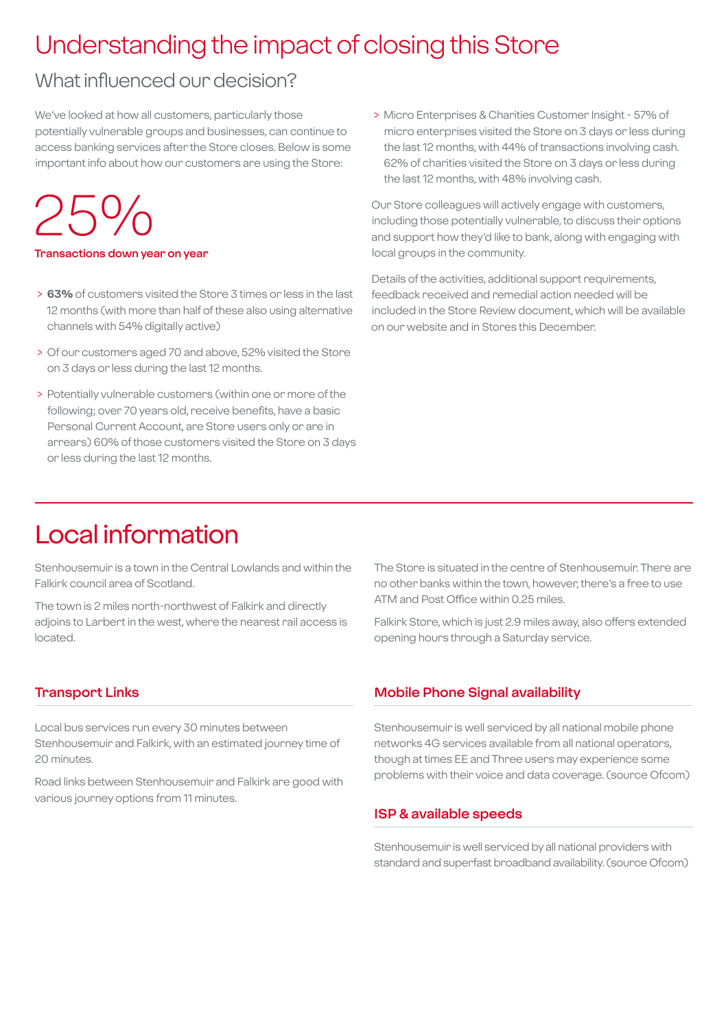# Understanding the impact of closing this Store

# What influenced our decision?

We've looked at how all customers, particularly those potentially vulnerable groups and businesses, can continue to access banking services after the Store closes. Below is some important info about how our customers are using the Store:

# 25%

#### **Transactions down year on year**

- > **63%** of customers visited the Store 3 times or less in the last 12 months (with more than half of these also using alternative channels with 54% digitally active)
- > Of our customers aged 70 and above, 52% visited the Store on 3 days or less during the last 12 months.
- > Potentially vulnerable customers (within one or more of the following; over 70 years old, receive benefits, have a basic Personal Current Account, are Store users only or are in arrears) 60% of those customers visited the Store on 3 days or less during the last 12 months.

 > Micro Enterprises & Charities Customer Insight - 57% of micro enterprises visited the Store on 3 days or less during the last 12 months, with 44% of transactions involving cash. 62% of charities visited the Store on 3 days or less during the last 12 months, with 48% involving cash.

Our Store colleagues will actively engage with customers, including those potentially vulnerable, to discuss their options and support how they'd like to bank, along with engaging with local groups in the community.

Details of the activities, additional support requirements, feedback received and remedial action needed will be included in the Store Review document, which will be available on our website and in Stores this December.

# Local information

Stenhousemuir is a town in the Central Lowlands and within the Falkirk council area of Scotland.

The town is 2 miles north-northwest of Falkirk and directly adjoins to Larbert in the west, where the nearest rail access is located.

## **Transport Links**

Local bus services run every 30 minutes between Stenhousemuir and Falkirk, with an estimated journey time of 20 minutes.

Road links between Stenhousemuir and Falkirk are good with various journey options from 11 minutes.

The Store is situated in the centre of Stenhousemuir. There are no other banks within the town, however, there's a free to use ATM and Post Office within 0.25 miles.

Falkirk Store, which is just 2.9 miles away, also offers extended opening hours through a Saturday service.

## **Mobile Phone Signal availability**

Stenhousemuir is well serviced by all national mobile phone networks 4G services available from all national operators, though at times EE and Three users may experience some problems with their voice and data coverage. (source Ofcom)

## **ISP & available speeds**

Stenhousemuir is well serviced by all national providers with standard and superfast broadband availability. (source Ofcom)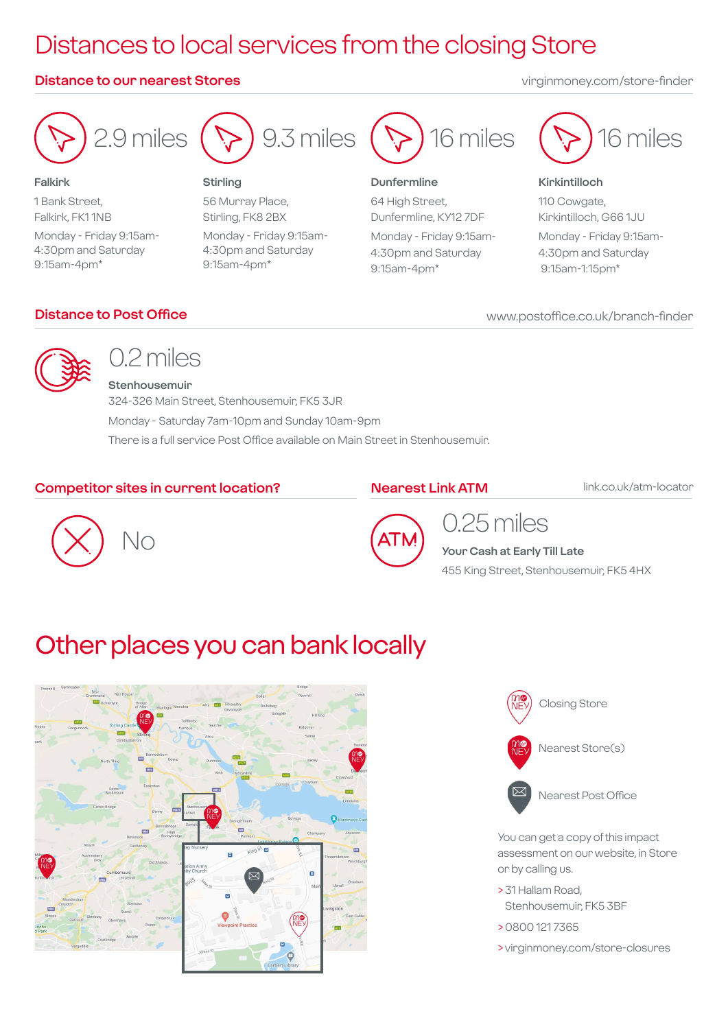# Distances to local services from the closing Store

## **Distance to our nearest Stores** virginmoney.com/store-finder



**Falkirk** 1 Bank Street, Falkirk, FK1 1NB Monday - Friday 9:15am-4:30pm and Saturday 9:15am-4pm\*

# $\left( \bigtriangledown \right)$ 9.3 miles

## **Stirling**

56 Murray Place, Stirling, FK8 2BX Monday - Friday 9:15am-4:30pm and Saturday 9:15am-4pm\*



## **Dunfermline**

64 High Street, Dunfermline, KY12 7DF Monday - Friday 9:15am-4:30pm and Saturday 9:15am-4pm\*



## **Kirkintilloch**

110 Cowgate, Kirkintilloch, G66 1JU Monday - Friday 9:15am-

4:30pm and Saturday 9:15am-1:15pm\*

# **Distance to Post Office**

## www.postoffice.co.uk/branch-finder



# 0.2 miles

**Stenhousemuir** 324-326 Main Street, Stenhousemuir, FK5 3JR Monday - Saturday 7am-10pm and Sunday 10am-9pm There is a full service Post Office available on Main Street in Stenhousemuir.

# **Competitor sites in current location?**

# **Nearest Link ATM**

link.co.uk/atm-locator





# 0.25 miles

**Your Cash at Early Till Late**

455 King Street, Stenhousemuir, FK5 4HX

# Other places you can bank locally





You can get a copy of this impact assessment on our website, in Store or by calling us.

- > 31 Hallam Road, Stenhousemuir, FK5 3BF
- > 0800 121 7365
- > virginmoney.com/store-closures